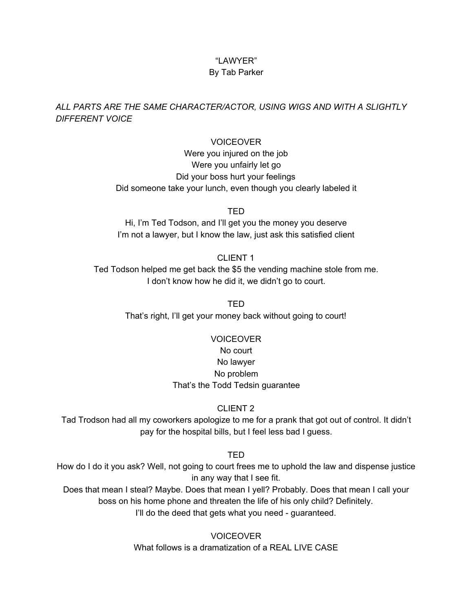# "LAWYER"

## By Tab Parker

### *ALL PARTS ARE THE SAME CHARACTER/ACTOR, USING WIGS AND WITH A SLIGHTLY DIFFERENT VOICE*

#### **VOICEOVER**

Were you injured on the job Were you unfairly let go Did your boss hurt your feelings Did someone take your lunch, even though you clearly labeled it

TED

Hi, I'm Ted Todson, and I'll get you the money you deserve I'm not a lawyer, but I know the law, just ask this satisfied client

#### CLIENT 1

Ted Todson helped me get back the \$5 the vending machine stole from me. I don't know how he did it, we didn't go to court.

> TED That's right, I'll get your money back without going to court!

# VOICEOVER No court No lawyer No problem That's the Todd Tedsin guarantee

## CLIENT 2

Tad Trodson had all my coworkers apologize to me for a prank that got out of control. It didn't pay for the hospital bills, but I feel less bad I guess.

TED

How do I do it you ask? Well, not going to court frees me to uphold the law and dispense justice in any way that I see fit.

Does that mean I steal? Maybe. Does that mean I yell? Probably. Does that mean I call your boss on his home phone and threaten the life of his only child? Definitely. I'll do the deed that gets what you need - guaranteed.

> **VOICEOVER** What follows is a dramatization of a REAL LIVE CASE